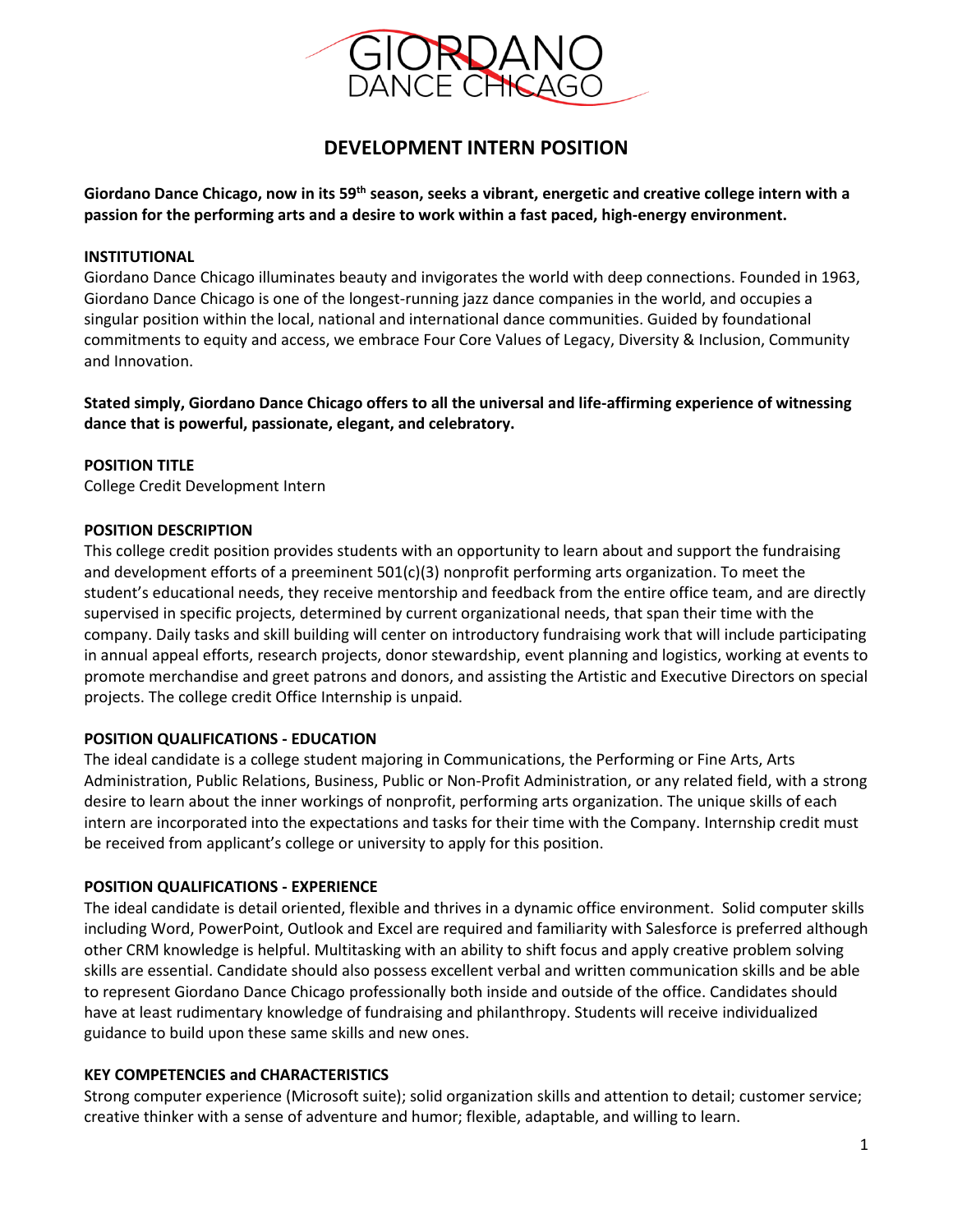

# **DEVELOPMENT INTERN POSITION**

**Giordano Dance Chicago, now in its 59th season, seeks a vibrant, energetic and creative college intern with a passion for the performing arts and a desire to work within a fast paced, high-energy environment.**

# **INSTITUTIONAL**

Giordano Dance Chicago illuminates beauty and invigorates the world with deep connections. Founded in 1963, Giordano Dance Chicago is one of the longest-running jazz dance companies in the world, and occupies a singular position within the local, national and international dance communities. Guided by foundational commitments to equity and access, we embrace Four Core Values of Legacy, Diversity & Inclusion, Community and Innovation.

**Stated simply, Giordano Dance Chicago offers to all the universal and life-affirming experience of witnessing dance that is powerful, passionate, elegant, and celebratory.**

# **POSITION TITLE**

College Credit Development Intern

#### **POSITION DESCRIPTION**

This college credit position provides students with an opportunity to learn about and support the fundraising and development efforts of a preeminent 501(c)(3) nonprofit performing arts organization. To meet the student's educational needs, they receive mentorship and feedback from the entire office team, and are directly supervised in specific projects, determined by current organizational needs, that span their time with the company. Daily tasks and skill building will center on introductory fundraising work that will include participating in annual appeal efforts, research projects, donor stewardship, event planning and logistics, working at events to promote merchandise and greet patrons and donors, and assisting the Artistic and Executive Directors on special projects. The college credit Office Internship is unpaid.

#### **POSITION QUALIFICATIONS - EDUCATION**

The ideal candidate is a college student majoring in Communications, the Performing or Fine Arts, Arts Administration, Public Relations, Business, Public or Non-Profit Administration, or any related field, with a strong desire to learn about the inner workings of nonprofit, performing arts organization. The unique skills of each intern are incorporated into the expectations and tasks for their time with the Company. Internship credit must be received from applicant's college or university to apply for this position.

#### **POSITION QUALIFICATIONS - EXPERIENCE**

The ideal candidate is detail oriented, flexible and thrives in a dynamic office environment. Solid computer skills including Word, PowerPoint, Outlook and Excel are required and familiarity with Salesforce is preferred although other CRM knowledge is helpful. Multitasking with an ability to shift focus and apply creative problem solving skills are essential. Candidate should also possess excellent verbal and written communication skills and be able to represent Giordano Dance Chicago professionally both inside and outside of the office. Candidates should have at least rudimentary knowledge of fundraising and philanthropy. Students will receive individualized guidance to build upon these same skills and new ones.

#### **KEY COMPETENCIES and CHARACTERISTICS**

Strong computer experience (Microsoft suite); solid organization skills and attention to detail; customer service; creative thinker with a sense of adventure and humor; flexible, adaptable, and willing to learn.